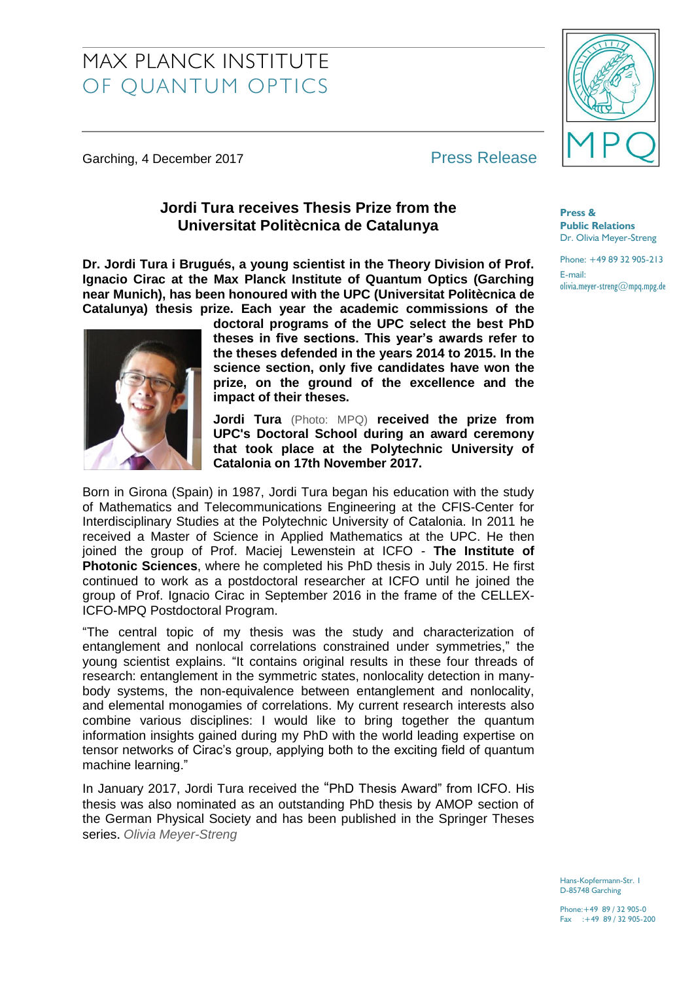# MAX PLANCK INSTITUTE OF QUANTUM OPTICS

Garching, 4 December 2017 **Press Release** 

## **Jordi Tura receives Thesis Prize from the Universitat Politècnica de Catalunya**

**Dr. Jordi Tura i Brugués, a young scientist in the Theory Division of Prof. Ignacio Cirac at the Max Planck Institute of Quantum Optics (Garching near Munich), has been honoured with the UPC (Universitat Politècnica de Catalunya) thesis prize. Each year the academic commissions of the** 



**doctoral programs of the UPC select the best PhD theses in five sections. This year's awards refer to the theses defended in the years 2014 to 2015. In the science section, only five candidates have won the prize, on the ground of the excellence and the impact of their theses.**

**Jordi Tura** (Photo: MPQ) **received the prize from UPC's Doctoral School during an award ceremony that took place at the Polytechnic University of Catalonia on 17th November 2017.**

Born in Girona (Spain) in 1987, Jordi Tura began his education with the study of Mathematics and Telecommunications Engineering at the CFIS-Center for Interdisciplinary Studies at the Polytechnic University of Catalonia. In 2011 he received a Master of Science in Applied Mathematics at the UPC. He then joined the group of Prof. Maciej Lewenstein at ICFO - **The Institute of Photonic Sciences**, where he completed his PhD thesis in July 2015. He first continued to work as a postdoctoral researcher at ICFO until he joined the group of Prof. Ignacio Cirac in September 2016 in the frame of the CELLEX-ICFO-MPQ Postdoctoral Program.

"The central topic of my thesis was the study and characterization of entanglement and nonlocal correlations constrained under symmetries," the young scientist explains. "It contains original results in these four threads of research: entanglement in the symmetric states, nonlocality detection in manybody systems, the non-equivalence between entanglement and nonlocality, and elemental monogamies of correlations. My current research interests also combine various disciplines: I would like to bring together the quantum information insights gained during my PhD with the world leading expertise on tensor networks of Cirac's group, applying both to the exciting field of quantum machine learning."

In January 2017, Jordi Tura received the "PhD Thesis Award" from ICFO. His thesis was also nominated as an outstanding PhD thesis by AMOP section of the German Physical Society and has been published in the Springer Theses series. *Olivia Meyer-Streng*



**Press & Public Relations** Dr. Olivia Meyer-Streng

Phone: +49 89 32 905-213 E-mail: olivia.meyer-streng@mpq.mpg.de

Hans-Kopfermann-Str. 1 D-85748 Garching

Phone:+49 89 / 32 905-0 Fax :+49 89 / 32 905-200